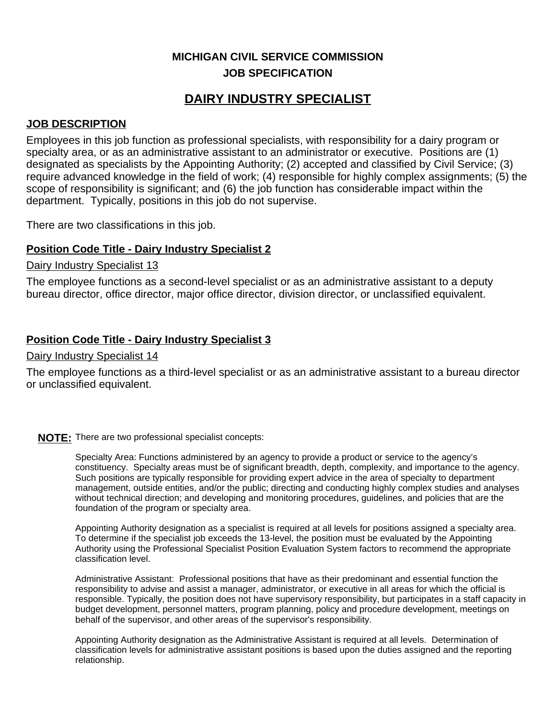## **MICHIGAN CIVIL SERVICE COMMISSION JOB SPECIFICATION**

# **DAIRY INDUSTRY SPECIALIST**

### **JOB DESCRIPTION**

Employees in this job function as professional specialists, with responsibility for a dairy program or specialty area, or as an administrative assistant to an administrator or executive. Positions are (1) designated as specialists by the Appointing Authority; (2) accepted and classified by Civil Service; (3) require advanced knowledge in the field of work; (4) responsible for highly complex assignments; (5) the scope of responsibility is significant; and (6) the job function has considerable impact within the department. Typically, positions in this job do not supervise.

There are two classifications in this job.

### **Position Code Title - Dairy Industry Specialist 2**

Dairy Industry Specialist 13

The employee functions as a second-level specialist or as an administrative assistant to a deputy bureau director, office director, major office director, division director, or unclassified equivalent.

### **Position Code Title - Dairy Industry Specialist 3**

#### Dairy Industry Specialist 14

The employee functions as a third-level specialist or as an administrative assistant to a bureau director or unclassified equivalent.

### **NOTE:** There are two professional specialist concepts:

Specialty Area: Functions administered by an agency to provide a product or service to the agency's constituency. Specialty areas must be of significant breadth, depth, complexity, and importance to the agency. Such positions are typically responsible for providing expert advice in the area of specialty to department management, outside entities, and/or the public; directing and conducting highly complex studies and analyses without technical direction; and developing and monitoring procedures, guidelines, and policies that are the foundation of the program or specialty area.

Appointing Authority designation as a specialist is required at all levels for positions assigned a specialty area. To determine if the specialist job exceeds the 13-level, the position must be evaluated by the Appointing Authority using the Professional Specialist Position Evaluation System factors to recommend the appropriate classification level.

Administrative Assistant: Professional positions that have as their predominant and essential function the responsibility to advise and assist a manager, administrator, or executive in all areas for which the official is responsible. Typically, the position does not have supervisory responsibility, but participates in a staff capacity in budget development, personnel matters, program planning, policy and procedure development, meetings on behalf of the supervisor, and other areas of the supervisor's responsibility.

Appointing Authority designation as the Administrative Assistant is required at all levels. Determination of classification levels for administrative assistant positions is based upon the duties assigned and the reporting relationship.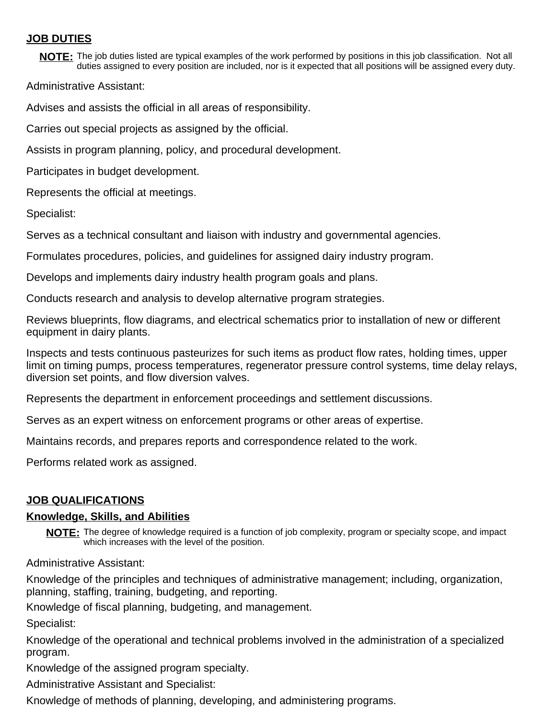### **JOB DUTIES**

**NOTE:** The job duties listed are typical examples of the work performed by positions in this job classification. Not all duties assigned to every position are included, nor is it expected that all positions will be assigned every duty.

Administrative Assistant:

Advises and assists the official in all areas of responsibility.

Carries out special projects as assigned by the official.

Assists in program planning, policy, and procedural development.

Participates in budget development.

Represents the official at meetings.

Specialist:

Serves as a technical consultant and liaison with industry and governmental agencies.

Formulates procedures, policies, and guidelines for assigned dairy industry program.

Develops and implements dairy industry health program goals and plans.

Conducts research and analysis to develop alternative program strategies.

Reviews blueprints, flow diagrams, and electrical schematics prior to installation of new or different equipment in dairy plants.

Inspects and tests continuous pasteurizes for such items as product flow rates, holding times, upper limit on timing pumps, process temperatures, regenerator pressure control systems, time delay relays, diversion set points, and flow diversion valves.

Represents the department in enforcement proceedings and settlement discussions.

Serves as an expert witness on enforcement programs or other areas of expertise.

Maintains records, and prepares reports and correspondence related to the work.

Performs related work as assigned.

### **JOB QUALIFICATIONS**

#### **Knowledge, Skills, and Abilities**

NOTE: The degree of knowledge required is a function of job complexity, program or specialty scope, and impact which increases with the level of the position.

Administrative Assistant:

Knowledge of the principles and techniques of administrative management; including, organization, planning, staffing, training, budgeting, and reporting.

Knowledge of fiscal planning, budgeting, and management.

Specialist:

Knowledge of the operational and technical problems involved in the administration of a specialized program.

Knowledge of the assigned program specialty.

Administrative Assistant and Specialist:

Knowledge of methods of planning, developing, and administering programs.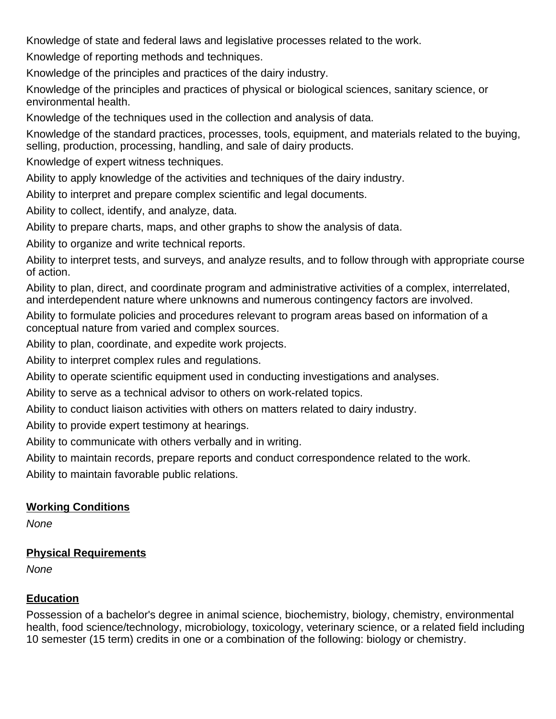Knowledge of state and federal laws and legislative processes related to the work.

Knowledge of reporting methods and techniques.

Knowledge of the principles and practices of the dairy industry.

Knowledge of the principles and practices of physical or biological sciences, sanitary science, or environmental health.

Knowledge of the techniques used in the collection and analysis of data.

Knowledge of the standard practices, processes, tools, equipment, and materials related to the buying, selling, production, processing, handling, and sale of dairy products.

Knowledge of expert witness techniques.

Ability to apply knowledge of the activities and techniques of the dairy industry.

Ability to interpret and prepare complex scientific and legal documents.

Ability to collect, identify, and analyze, data.

Ability to prepare charts, maps, and other graphs to show the analysis of data.

Ability to organize and write technical reports.

Ability to interpret tests, and surveys, and analyze results, and to follow through with appropriate course of action.

Ability to plan, direct, and coordinate program and administrative activities of a complex, interrelated, and interdependent nature where unknowns and numerous contingency factors are involved.

Ability to formulate policies and procedures relevant to program areas based on information of a conceptual nature from varied and complex sources.

Ability to plan, coordinate, and expedite work projects.

Ability to interpret complex rules and regulations.

Ability to operate scientific equipment used in conducting investigations and analyses.

Ability to serve as a technical advisor to others on work-related topics.

Ability to conduct liaison activities with others on matters related to dairy industry.

Ability to provide expert testimony at hearings.

Ability to communicate with others verbally and in writing.

Ability to maintain records, prepare reports and conduct correspondence related to the work.

Ability to maintain favorable public relations.

## **Working Conditions**

None

## **Physical Requirements**

None

## **Education**

Possession of a bachelor's degree in animal science, biochemistry, biology, chemistry, environmental health, food science/technology, microbiology, toxicology, veterinary science, or a related field including 10 semester (15 term) credits in one or a combination of the following: biology or chemistry.